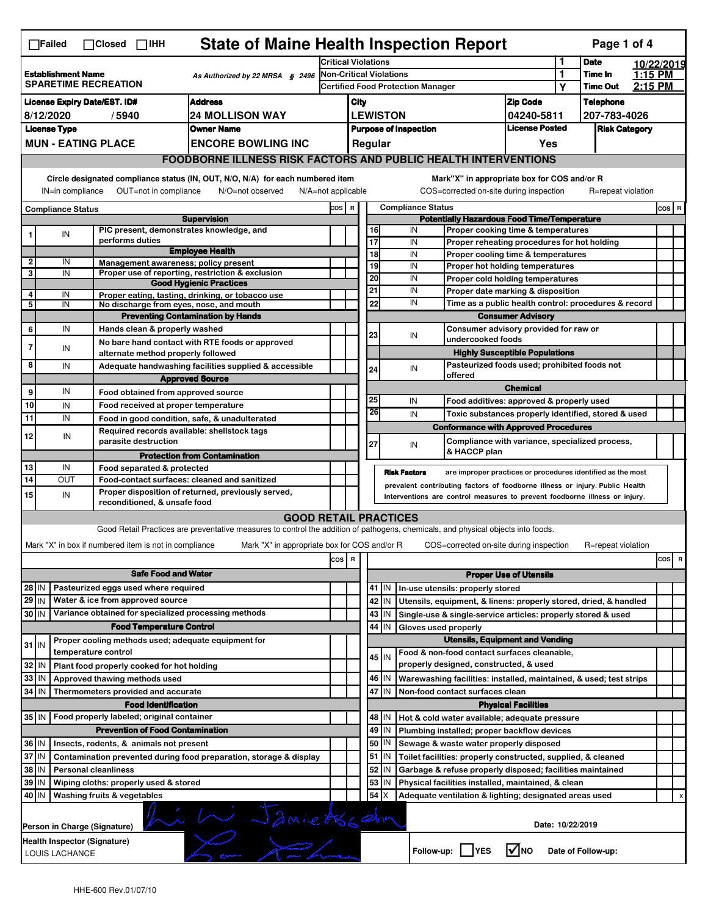| <b>State of Maine Health Inspection Report</b><br>Page 1 of 4<br>∏Failed<br>$\Box$ Closed $\Box$ IHH                |                                                                                                                                                                       |                              |                                                       |                                                                                                                                   |       |                                                                                       |                                                              |                                                    |                                                                                                       |                                              |            |                      |         |         |   |
|---------------------------------------------------------------------------------------------------------------------|-----------------------------------------------------------------------------------------------------------------------------------------------------------------------|------------------------------|-------------------------------------------------------|-----------------------------------------------------------------------------------------------------------------------------------|-------|---------------------------------------------------------------------------------------|--------------------------------------------------------------|----------------------------------------------------|-------------------------------------------------------------------------------------------------------|----------------------------------------------|------------|----------------------|---------|---------|---|
| <b>Establishment Name</b><br>As Authorized by 22 MRSA $$2496$<br><b>SPARETIME RECREATION</b>                        |                                                                                                                                                                       |                              | <b>Critical Violations</b>                            |                                                                                                                                   |       |                                                                                       |                                                              |                                                    | 1<br>1                                                                                                | <b>Date</b>                                  | 10/22/2019 |                      |         |         |   |
|                                                                                                                     |                                                                                                                                                                       |                              |                                                       | <b>Non-Critical Violations</b><br><b>Certified Food Protection Manager</b>                                                        |       |                                                                                       |                                                              |                                                    |                                                                                                       | Time In                                      | 1:15 PM    |                      |         |         |   |
|                                                                                                                     |                                                                                                                                                                       |                              |                                                       |                                                                                                                                   |       |                                                                                       |                                                              |                                                    |                                                                                                       |                                              | Υ          | <b>Time Out</b>      | 2:15 PM |         |   |
| <b>License Expiry Date/EST. ID#</b><br><b>Address</b>                                                               |                                                                                                                                                                       |                              |                                                       | City                                                                                                                              |       |                                                                                       |                                                              | <b>Zip Code</b>                                    |                                                                                                       | <b>Telephone</b>                             |            |                      |         |         |   |
|                                                                                                                     | 8/12/2020                                                                                                                                                             | /5940                        |                                                       | <b>24 MOLLISON WAY</b><br><b>Owner Name</b>                                                                                       |       |                                                                                       |                                                              | <b>LEWISTON</b>                                    |                                                                                                       | 04240-5811<br><b>License Posted</b>          |            | 207-783-4026         |         |         |   |
|                                                                                                                     | <b>License Type</b>                                                                                                                                                   |                              |                                                       |                                                                                                                                   |       |                                                                                       |                                                              |                                                    | <b>Purpose of Inspection</b>                                                                          |                                              |            | <b>Risk Category</b> |         |         |   |
|                                                                                                                     |                                                                                                                                                                       | <b>MUN - EATING PLACE</b>    |                                                       | <b>ENCORE BOWLING INC</b>                                                                                                         |       |                                                                                       | Regular                                                      |                                                    |                                                                                                       | Yes                                          |            |                      |         |         |   |
|                                                                                                                     |                                                                                                                                                                       |                              |                                                       | <b>FOODBORNE ILLNESS RISK FACTORS AND PUBLIC HEALTH INTERVENTIONS</b>                                                             |       |                                                                                       |                                                              |                                                    |                                                                                                       |                                              |            |                      |         |         |   |
|                                                                                                                     | Circle designated compliance status (IN, OUT, N/O, N/A) for each numbered item<br>OUT=not in compliance<br>N/A=not applicable<br>IN=in compliance<br>N/O=not observed |                              |                                                       |                                                                                                                                   |       |                                                                                       |                                                              |                                                    | Mark"X" in appropriate box for COS and/or R<br>COS=corrected on-site during inspection                |                                              |            | R=repeat violation   |         |         |   |
|                                                                                                                     | <b>Compliance Status</b>                                                                                                                                              |                              |                                                       |                                                                                                                                   | COS R |                                                                                       |                                                              |                                                    | <b>Compliance Status</b>                                                                              |                                              |            |                      |         | $cos$ R |   |
|                                                                                                                     |                                                                                                                                                                       |                              |                                                       | <b>Supervision</b>                                                                                                                |       |                                                                                       |                                                              |                                                    | <b>Potentially Hazardous Food Time/Temperature</b>                                                    |                                              |            |                      |         |         |   |
| 1                                                                                                                   | IN                                                                                                                                                                    |                              | performs duties                                       | PIC present, demonstrates knowledge, and                                                                                          |       |                                                                                       | 16<br>17                                                     |                                                    | IN<br>Proper cooking time & temperatures<br>IN                                                        |                                              |            |                      |         |         |   |
|                                                                                                                     |                                                                                                                                                                       |                              |                                                       | <b>Employee Health</b>                                                                                                            |       |                                                                                       | $\overline{18}$                                              |                                                    | Proper reheating procedures for hot holding<br>IN<br>Proper cooling time & temperatures               |                                              |            |                      |         |         |   |
| $\overline{2}$                                                                                                      | IN                                                                                                                                                                    |                              |                                                       | Management awareness; policy present                                                                                              |       |                                                                                       | 19                                                           |                                                    | IN<br>Proper hot holding temperatures                                                                 |                                              |            |                      |         |         |   |
| 3                                                                                                                   | IN                                                                                                                                                                    |                              |                                                       | Proper use of reporting, restriction & exclusion                                                                                  |       |                                                                                       | 20                                                           |                                                    | IN<br>Proper cold holding temperatures                                                                |                                              |            |                      |         |         |   |
| 4                                                                                                                   | IN                                                                                                                                                                    |                              |                                                       | <b>Good Hygienic Practices</b><br>Proper eating, tasting, drinking, or tobacco use                                                |       |                                                                                       | 21                                                           |                                                    | IN<br>Proper date marking & disposition                                                               |                                              |            |                      |         |         |   |
| 5                                                                                                                   | IN                                                                                                                                                                    |                              |                                                       | No discharge from eyes, nose, and mouth                                                                                           |       |                                                                                       | 22                                                           |                                                    | IN<br>Time as a public health control: procedures & record                                            |                                              |            |                      |         |         |   |
|                                                                                                                     |                                                                                                                                                                       |                              |                                                       | <b>Preventing Contamination by Hands</b>                                                                                          |       |                                                                                       |                                                              |                                                    |                                                                                                       | <b>Consumer Advisory</b>                     |            |                      |         |         |   |
| 6                                                                                                                   | IN                                                                                                                                                                    |                              | Hands clean & properly washed                         |                                                                                                                                   |       |                                                                                       |                                                              |                                                    | Consumer advisory provided for raw or                                                                 |                                              |            |                      |         |         |   |
| $\overline{7}$                                                                                                      | IN                                                                                                                                                                    |                              |                                                       | No bare hand contact with RTE foods or approved                                                                                   |       |                                                                                       | 23                                                           |                                                    | IN<br>undercooked foods                                                                               |                                              |            |                      |         |         |   |
|                                                                                                                     |                                                                                                                                                                       |                              | alternate method properly followed                    |                                                                                                                                   |       |                                                                                       |                                                              |                                                    |                                                                                                       | <b>Highly Susceptible Populations</b>        |            |                      |         |         |   |
| 8                                                                                                                   | IN                                                                                                                                                                    |                              |                                                       | Adequate handwashing facilities supplied & accessible                                                                             |       |                                                                                       | 24                                                           |                                                    | IN                                                                                                    | Pasteurized foods used; prohibited foods not |            |                      |         |         |   |
|                                                                                                                     |                                                                                                                                                                       |                              |                                                       | <b>Approved Source</b>                                                                                                            |       |                                                                                       |                                                              |                                                    | offered                                                                                               | <b>Chemical</b>                              |            |                      |         |         |   |
| 9                                                                                                                   | IN                                                                                                                                                                    |                              |                                                       | Food obtained from approved source                                                                                                |       |                                                                                       | 25                                                           |                                                    | IN                                                                                                    |                                              |            |                      |         |         |   |
| 10                                                                                                                  | IN                                                                                                                                                                    |                              |                                                       | Food received at proper temperature                                                                                               |       |                                                                                       | 26                                                           |                                                    | Food additives: approved & properly used<br>IN<br>Toxic substances properly identified, stored & used |                                              |            |                      |         |         |   |
| 11                                                                                                                  | IN                                                                                                                                                                    |                              |                                                       | Food in good condition, safe, & unadulterated                                                                                     |       |                                                                                       |                                                              |                                                    | <b>Conformance with Approved Procedures</b>                                                           |                                              |            |                      |         |         |   |
| 12                                                                                                                  | IN                                                                                                                                                                    |                              | parasite destruction                                  | Required records available: shellstock tags                                                                                       |       |                                                                                       | 27                                                           |                                                    | Compliance with variance, specialized process,<br>IN                                                  |                                              |            |                      |         |         |   |
|                                                                                                                     |                                                                                                                                                                       |                              |                                                       | <b>Protection from Contamination</b>                                                                                              |       |                                                                                       |                                                              |                                                    | & HACCP plan                                                                                          |                                              |            |                      |         |         |   |
| 13                                                                                                                  | IN                                                                                                                                                                    |                              | Food separated & protected                            |                                                                                                                                   |       |                                                                                       |                                                              |                                                    | <b>Risk Factors</b><br>are improper practices or procedures identified as the most                    |                                              |            |                      |         |         |   |
| 14                                                                                                                  | OUT                                                                                                                                                                   |                              |                                                       | Food-contact surfaces: cleaned and sanitized                                                                                      |       |                                                                                       |                                                              |                                                    | prevalent contributing factors of foodborne illness or injury. Public Health                          |                                              |            |                      |         |         |   |
| 15                                                                                                                  | IN                                                                                                                                                                    |                              | reconditioned, & unsafe food                          | Proper disposition of returned, previously served,                                                                                |       |                                                                                       |                                                              |                                                    | Interventions are control measures to prevent foodborne illness or injury.                            |                                              |            |                      |         |         |   |
|                                                                                                                     |                                                                                                                                                                       |                              |                                                       | <b>GOOD RETAIL PRACTICES</b>                                                                                                      |       |                                                                                       |                                                              |                                                    |                                                                                                       |                                              |            |                      |         |         |   |
|                                                                                                                     |                                                                                                                                                                       |                              |                                                       | Good Retail Practices are preventative measures to control the addition of pathogens, chemicals, and physical objects into foods. |       |                                                                                       |                                                              |                                                    |                                                                                                       |                                              |            |                      |         |         |   |
|                                                                                                                     |                                                                                                                                                                       |                              |                                                       |                                                                                                                                   |       |                                                                                       |                                                              |                                                    |                                                                                                       |                                              |            |                      |         |         |   |
|                                                                                                                     |                                                                                                                                                                       |                              | Mark "X" in box if numbered item is not in compliance | Mark "X" in appropriate box for COS and/or R                                                                                      |       |                                                                                       |                                                              |                                                    | COS=corrected on-site during inspection                                                               |                                              |            | R=repeat violation   |         |         |   |
|                                                                                                                     |                                                                                                                                                                       |                              |                                                       |                                                                                                                                   | cos   | R                                                                                     |                                                              |                                                    |                                                                                                       |                                              |            |                      |         | cos     | R |
| <b>Safe Food and Water</b>                                                                                          |                                                                                                                                                                       |                              |                                                       |                                                                                                                                   |       |                                                                                       |                                                              | <b>Proper Use of Utensils</b>                      |                                                                                                       |                                              |            |                      |         |         |   |
| Pasteurized eggs used where required<br>28 IN                                                                       |                                                                                                                                                                       |                              |                                                       |                                                                                                                                   |       | 41 J IN                                                                               | In-use utensils: properly stored                             |                                                    |                                                                                                       |                                              |            |                      |         |         |   |
| $29$ IN                                                                                                             |                                                                                                                                                                       |                              | Water & ice from approved source                      |                                                                                                                                   |       |                                                                                       | 42                                                           | IN                                                 | Utensils, equipment, & linens: properly stored, dried, & handled                                      |                                              |            |                      |         |         |   |
| 30 IN                                                                                                               |                                                                                                                                                                       |                              |                                                       | Variance obtained for specialized processing methods                                                                              |       |                                                                                       |                                                              | 43   IN                                            | Single-use & single-service articles: properly stored & used                                          |                                              |            |                      |         |         |   |
| <b>Food Temperature Control</b>                                                                                     |                                                                                                                                                                       |                              |                                                       |                                                                                                                                   |       |                                                                                       | 44 IN                                                        | Gloves used properly                               |                                                                                                       |                                              |            |                      |         |         |   |
| $31$ IN                                                                                                             |                                                                                                                                                                       |                              |                                                       | Proper cooling methods used; adequate equipment for                                                                               |       |                                                                                       |                                                              |                                                    | <b>Utensils, Equipment and Vending</b>                                                                |                                              |            |                      |         |         |   |
|                                                                                                                     |                                                                                                                                                                       | temperature control          |                                                       |                                                                                                                                   |       |                                                                                       |                                                              | $45$ IN                                            | Food & non-food contact surfaces cleanable,<br>properly designed, constructed, & used                 |                                              |            |                      |         |         |   |
| 32                                                                                                                  | l IN                                                                                                                                                                  |                              | Plant food properly cooked for hot holding            |                                                                                                                                   |       |                                                                                       |                                                              |                                                    |                                                                                                       |                                              |            |                      |         |         |   |
| 33                                                                                                                  | l IN                                                                                                                                                                  |                              | Approved thawing methods used                         |                                                                                                                                   |       |                                                                                       |                                                              | 46 IN                                              | Warewashing facilities: installed, maintained, & used; test strips                                    |                                              |            |                      |         |         |   |
| 34<br>IN<br>Thermometers provided and accurate                                                                      |                                                                                                                                                                       |                              |                                                       |                                                                                                                                   |       |                                                                                       | 47                                                           | IN                                                 | Non-food contact surfaces clean                                                                       |                                              |            |                      |         |         |   |
| <b>Food Identification</b><br>35 IN   Food properly labeled; original container                                     |                                                                                                                                                                       |                              |                                                       |                                                                                                                                   |       |                                                                                       |                                                              |                                                    |                                                                                                       | <b>Physical Facilities</b>                   |            |                      |         |         |   |
|                                                                                                                     |                                                                                                                                                                       |                              |                                                       |                                                                                                                                   |       |                                                                                       |                                                              | 48   IN                                            | Hot & cold water available; adequate pressure                                                         |                                              |            |                      |         |         |   |
|                                                                                                                     |                                                                                                                                                                       |                              | <b>Prevention of Food Contamination</b>               |                                                                                                                                   |       |                                                                                       | 50                                                           | 49 IN<br> IN                                       | Plumbing installed; proper backflow devices                                                           |                                              |            |                      |         |         |   |
| 36 IN                                                                                                               |                                                                                                                                                                       |                              | Insects, rodents, & animals not present               |                                                                                                                                   |       |                                                                                       |                                                              | $51$ $\vert$ IN                                    | Sewage & waste water properly disposed                                                                |                                              |            |                      |         |         |   |
| 37 IN<br>Contamination prevented during food preparation, storage & display<br>38 IN<br><b>Personal cleanliness</b> |                                                                                                                                                                       |                              |                                                       |                                                                                                                                   | 52    |                                                                                       | Toilet facilities: properly constructed, supplied, & cleaned |                                                    |                                                                                                       |                                              |            |                      |         |         |   |
|                                                                                                                     |                                                                                                                                                                       |                              |                                                       |                                                                                                                                   | 53    | IN<br>IN                                                                              | Garbage & refuse properly disposed; facilities maintained    |                                                    |                                                                                                       |                                              |            |                      |         |         |   |
| 39<br>ΙM<br>Wiping cloths: properly used & stored                                                                   |                                                                                                                                                                       |                              |                                                       |                                                                                                                                   |       | 54                                                                                    | х                                                            | Physical facilities installed, maintained, & clean |                                                                                                       |                                              |            |                      |         |         |   |
|                                                                                                                     |                                                                                                                                                                       |                              |                                                       |                                                                                                                                   |       | Washing fruits & vegetables<br>Adequate ventilation & lighting; designated areas used |                                                              |                                                    |                                                                                                       |                                              |            |                      |         |         |   |
| 40 IN                                                                                                               |                                                                                                                                                                       |                              |                                                       |                                                                                                                                   |       |                                                                                       |                                                              |                                                    |                                                                                                       |                                              |            |                      |         |         |   |
|                                                                                                                     |                                                                                                                                                                       | Person in Charge (Signature) |                                                       |                                                                                                                                   |       |                                                                                       |                                                              |                                                    |                                                                                                       | Date: 10/22/2019                             |            |                      |         |         |   |
|                                                                                                                     | LOUIS LACHANCE                                                                                                                                                        | Health Inspector (Signature) |                                                       | i Li Jamietssehn                                                                                                                  |       |                                                                                       |                                                              |                                                    | Follow-up: YES                                                                                        | l√lno                                        |            | Date of Follow-up:   |         |         |   |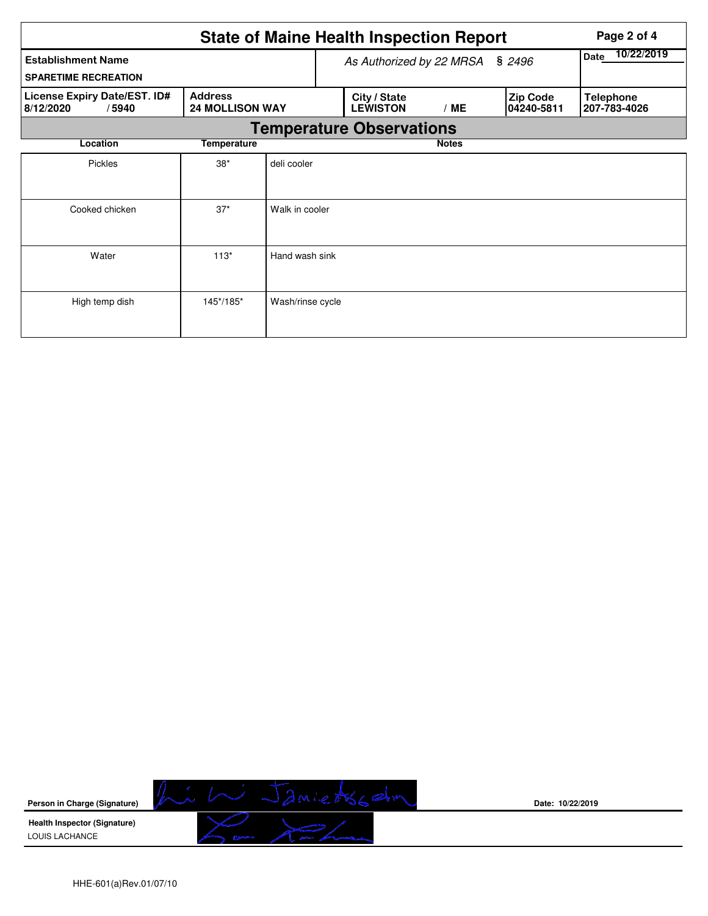|                                                                                                |             |                  |                                                                   | <b>State of Maine Health Inspection Report</b> | Page 2 of 4        |  |                                  |  |  |
|------------------------------------------------------------------------------------------------|-------------|------------------|-------------------------------------------------------------------|------------------------------------------------|--------------------|--|----------------------------------|--|--|
| <b>Establishment Name</b><br><b>SPARETIME RECREATION</b>                                       |             |                  |                                                                   | As Authorized by 22 MRSA § 2496                | 10/22/2019<br>Date |  |                                  |  |  |
| License Expiry Date/EST. ID#<br><b>Address</b><br><b>24 MOLLISON WAY</b><br>8/12/2020<br>/5940 |             |                  | City / State<br>Zip Code<br><b>LEWISTON</b><br>/ME<br> 04240-5811 |                                                |                    |  | <b>Telephone</b><br>207-783-4026 |  |  |
|                                                                                                |             |                  |                                                                   | <b>Temperature Observations</b>                |                    |  |                                  |  |  |
| Location                                                                                       | Temperature |                  |                                                                   |                                                | <b>Notes</b>       |  |                                  |  |  |
| <b>Pickles</b>                                                                                 | $38*$       | deli cooler      |                                                                   |                                                |                    |  |                                  |  |  |
| Cooked chicken                                                                                 | $37*$       | Walk in cooler   |                                                                   |                                                |                    |  |                                  |  |  |
| Water                                                                                          | $113*$      | Hand wash sink   |                                                                   |                                                |                    |  |                                  |  |  |
| High temp dish                                                                                 | 145*/185*   | Wash/rinse cycle |                                                                   |                                                |                    |  |                                  |  |  |



**Date: 10/22/2019**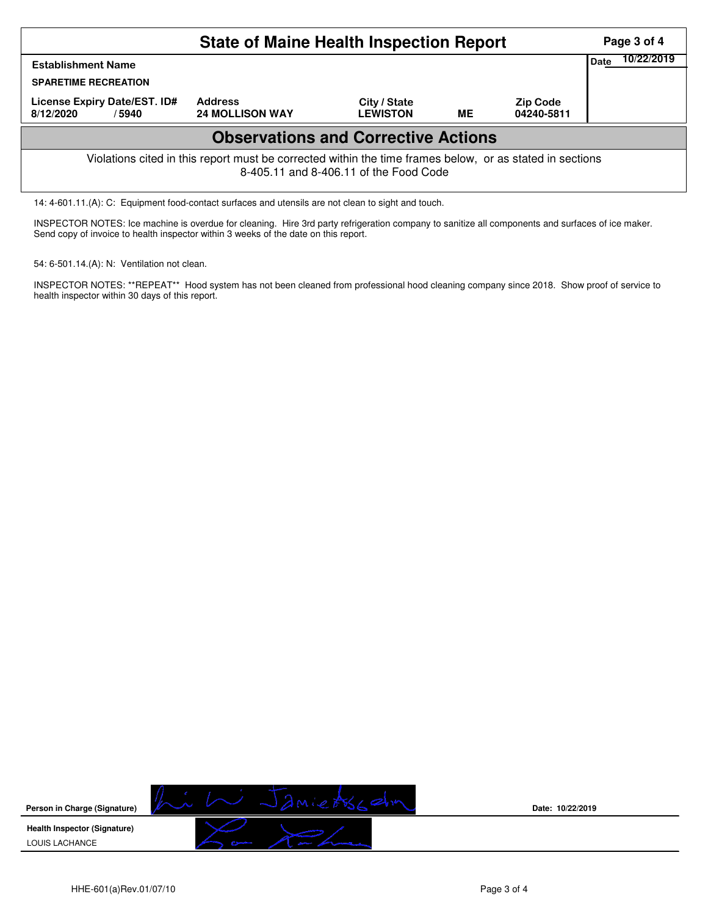| <b>State of Maine Health Inspection Report</b>                                                                                                     |                                          |                                 |    |                               |             |            |  |  |
|----------------------------------------------------------------------------------------------------------------------------------------------------|------------------------------------------|---------------------------------|----|-------------------------------|-------------|------------|--|--|
| <b>Establishment Name</b>                                                                                                                          |                                          |                                 |    |                               | <b>Date</b> | 10/22/2019 |  |  |
| <b>SPARETIME RECREATION</b>                                                                                                                        |                                          |                                 |    |                               |             |            |  |  |
| License Expiry Date/EST. ID#<br>8/12/2020<br>/5940                                                                                                 | <b>Address</b><br><b>24 MOLLISON WAY</b> | City / State<br><b>LEWISTON</b> | ME | <b>Zip Code</b><br>04240-5811 |             |            |  |  |
| <b>Observations and Corrective Actions</b>                                                                                                         |                                          |                                 |    |                               |             |            |  |  |
| Violations cited in this report must be corrected within the time frames below, or as stated in sections<br>8-405.11 and 8-406.11 of the Food Code |                                          |                                 |    |                               |             |            |  |  |

14: 4-601.11.(A): C: Equipment food-contact surfaces and utensils are not clean to sight and touch.

INSPECTOR NOTES: Ice machine is overdue for cleaning. Hire 3rd party refrigeration company to sanitize all components and surfaces of ice maker. Send copy of invoice to health inspector within 3 weeks of the date on this report.

54: 6-501.14.(A): N: Ventilation not clean.

INSPECTOR NOTES: \*\*REPEAT\*\* Hood system has not been cleaned from professional hood cleaning company since 2018. Show proof of service to health inspector within 30 days of this report.



**Date: 10/22/2019**

HHE-601(a)Rev.01/07/10 **Page 3 of 4**